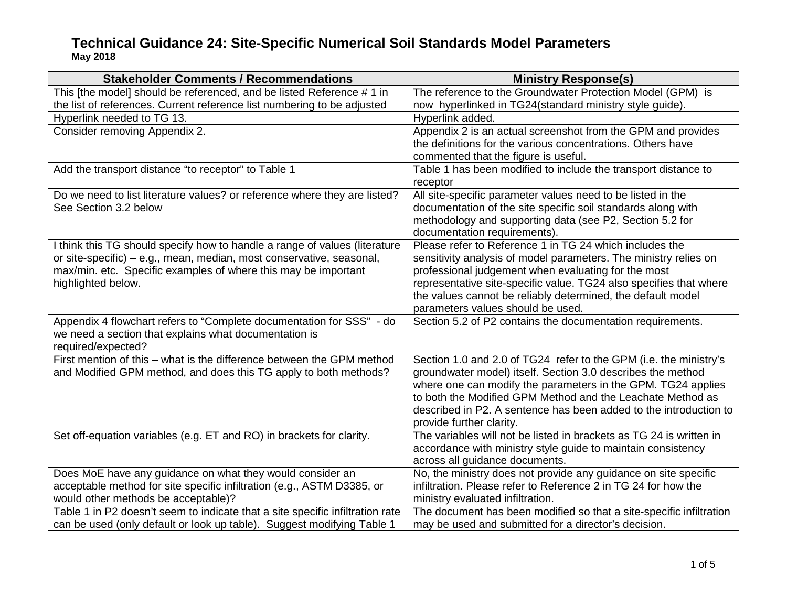| <b>Stakeholder Comments / Recommendations</b>                                                                                                                                                                                              | <b>Ministry Response(s)</b>                                                                                                                                                                                                                                                                                                                                     |
|--------------------------------------------------------------------------------------------------------------------------------------------------------------------------------------------------------------------------------------------|-----------------------------------------------------------------------------------------------------------------------------------------------------------------------------------------------------------------------------------------------------------------------------------------------------------------------------------------------------------------|
| This [the model] should be referenced, and be listed Reference # 1 in                                                                                                                                                                      | The reference to the Groundwater Protection Model (GPM) is                                                                                                                                                                                                                                                                                                      |
| the list of references. Current reference list numbering to be adjusted                                                                                                                                                                    | now hyperlinked in TG24(standard ministry style guide).                                                                                                                                                                                                                                                                                                         |
| Hyperlink needed to TG 13.                                                                                                                                                                                                                 | Hyperlink added.                                                                                                                                                                                                                                                                                                                                                |
| Consider removing Appendix 2.                                                                                                                                                                                                              | Appendix 2 is an actual screenshot from the GPM and provides<br>the definitions for the various concentrations. Others have<br>commented that the figure is useful.                                                                                                                                                                                             |
| Add the transport distance "to receptor" to Table 1                                                                                                                                                                                        | Table 1 has been modified to include the transport distance to<br>receptor                                                                                                                                                                                                                                                                                      |
| Do we need to list literature values? or reference where they are listed?<br>See Section 3.2 below                                                                                                                                         | All site-specific parameter values need to be listed in the<br>documentation of the site specific soil standards along with<br>methodology and supporting data (see P2, Section 5.2 for<br>documentation requirements).                                                                                                                                         |
| I think this TG should specify how to handle a range of values (literature<br>or site-specific) – e.g., mean, median, most conservative, seasonal,<br>max/min. etc. Specific examples of where this may be important<br>highlighted below. | Please refer to Reference 1 in TG 24 which includes the<br>sensitivity analysis of model parameters. The ministry relies on<br>professional judgement when evaluating for the most<br>representative site-specific value. TG24 also specifies that where<br>the values cannot be reliably determined, the default model<br>parameters values should be used.    |
| Appendix 4 flowchart refers to "Complete documentation for SSS" - do<br>we need a section that explains what documentation is<br>required/expected?                                                                                        | Section 5.2 of P2 contains the documentation requirements.                                                                                                                                                                                                                                                                                                      |
| First mention of this - what is the difference between the GPM method<br>and Modified GPM method, and does this TG apply to both methods?                                                                                                  | Section 1.0 and 2.0 of TG24 refer to the GPM (i.e. the ministry's<br>groundwater model) itself. Section 3.0 describes the method<br>where one can modify the parameters in the GPM. TG24 applies<br>to both the Modified GPM Method and the Leachate Method as<br>described in P2. A sentence has been added to the introduction to<br>provide further clarity. |
| Set off-equation variables (e.g. ET and RO) in brackets for clarity.                                                                                                                                                                       | The variables will not be listed in brackets as TG 24 is written in<br>accordance with ministry style guide to maintain consistency<br>across all guidance documents.                                                                                                                                                                                           |
| Does MoE have any guidance on what they would consider an<br>acceptable method for site specific infiltration (e.g., ASTM D3385, or<br>would other methods be acceptable)?                                                                 | No, the ministry does not provide any guidance on site specific<br>infiltration. Please refer to Reference 2 in TG 24 for how the<br>ministry evaluated infiltration.                                                                                                                                                                                           |
| Table 1 in P2 doesn't seem to indicate that a site specific infiltration rate<br>can be used (only default or look up table). Suggest modifying Table 1                                                                                    | The document has been modified so that a site-specific infiltration<br>may be used and submitted for a director's decision.                                                                                                                                                                                                                                     |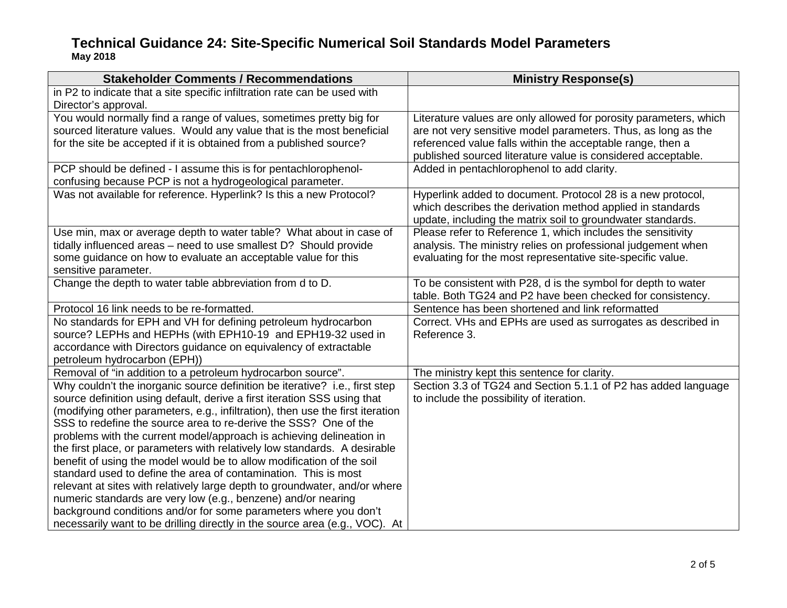| <b>Stakeholder Comments / Recommendations</b>                                                     | <b>Ministry Response(s)</b>                                                                                                                                                              |
|---------------------------------------------------------------------------------------------------|------------------------------------------------------------------------------------------------------------------------------------------------------------------------------------------|
| in P2 to indicate that a site specific infiltration rate can be used with<br>Director's approval. |                                                                                                                                                                                          |
| You would normally find a range of values, sometimes pretty big for                               | Literature values are only allowed for porosity parameters, which                                                                                                                        |
| sourced literature values. Would any value that is the most beneficial                            | are not very sensitive model parameters. Thus, as long as the                                                                                                                            |
| for the site be accepted if it is obtained from a published source?                               | referenced value falls within the acceptable range, then a<br>published sourced literature value is considered acceptable.                                                               |
| PCP should be defined - I assume this is for pentachlorophenol-                                   | Added in pentachlorophenol to add clarity.                                                                                                                                               |
| confusing because PCP is not a hydrogeological parameter.                                         |                                                                                                                                                                                          |
| Was not available for reference. Hyperlink? Is this a new Protocol?                               | Hyperlink added to document. Protocol 28 is a new protocol,<br>which describes the derivation method applied in standards<br>update, including the matrix soil to groundwater standards. |
| Use min, max or average depth to water table? What about in case of                               | Please refer to Reference 1, which includes the sensitivity                                                                                                                              |
| tidally influenced areas - need to use smallest D? Should provide                                 | analysis. The ministry relies on professional judgement when                                                                                                                             |
| some guidance on how to evaluate an acceptable value for this                                     | evaluating for the most representative site-specific value.                                                                                                                              |
| sensitive parameter.                                                                              |                                                                                                                                                                                          |
| Change the depth to water table abbreviation from d to D.                                         | To be consistent with P28, d is the symbol for depth to water<br>table. Both TG24 and P2 have been checked for consistency.                                                              |
| Protocol 16 link needs to be re-formatted.                                                        | Sentence has been shortened and link reformatted                                                                                                                                         |
| No standards for EPH and VH for defining petroleum hydrocarbon                                    | Correct. VHs and EPHs are used as surrogates as described in                                                                                                                             |
| source? LEPHs and HEPHs (with EPH10-19 and EPH19-32 used in                                       | Reference 3.                                                                                                                                                                             |
| accordance with Directors guidance on equivalency of extractable                                  |                                                                                                                                                                                          |
| petroleum hydrocarbon (EPH))                                                                      |                                                                                                                                                                                          |
| Removal of "in addition to a petroleum hydrocarbon source".                                       | The ministry kept this sentence for clarity.                                                                                                                                             |
| Why couldn't the inorganic source definition be iterative? i.e., first step                       | Section 3.3 of TG24 and Section 5.1.1 of P2 has added language                                                                                                                           |
| source definition using default, derive a first iteration SSS using that                          | to include the possibility of iteration.                                                                                                                                                 |
| (modifying other parameters, e.g., infiltration), then use the first iteration                    |                                                                                                                                                                                          |
| SSS to redefine the source area to re-derive the SSS? One of the                                  |                                                                                                                                                                                          |
| problems with the current model/approach is achieving delineation in                              |                                                                                                                                                                                          |
| the first place, or parameters with relatively low standards. A desirable                         |                                                                                                                                                                                          |
| benefit of using the model would be to allow modification of the soil                             |                                                                                                                                                                                          |
| standard used to define the area of contamination. This is most                                   |                                                                                                                                                                                          |
| relevant at sites with relatively large depth to groundwater, and/or where                        |                                                                                                                                                                                          |
| numeric standards are very low (e.g., benzene) and/or nearing                                     |                                                                                                                                                                                          |
| background conditions and/or for some parameters where you don't                                  |                                                                                                                                                                                          |
| necessarily want to be drilling directly in the source area (e.g., VOC). At                       |                                                                                                                                                                                          |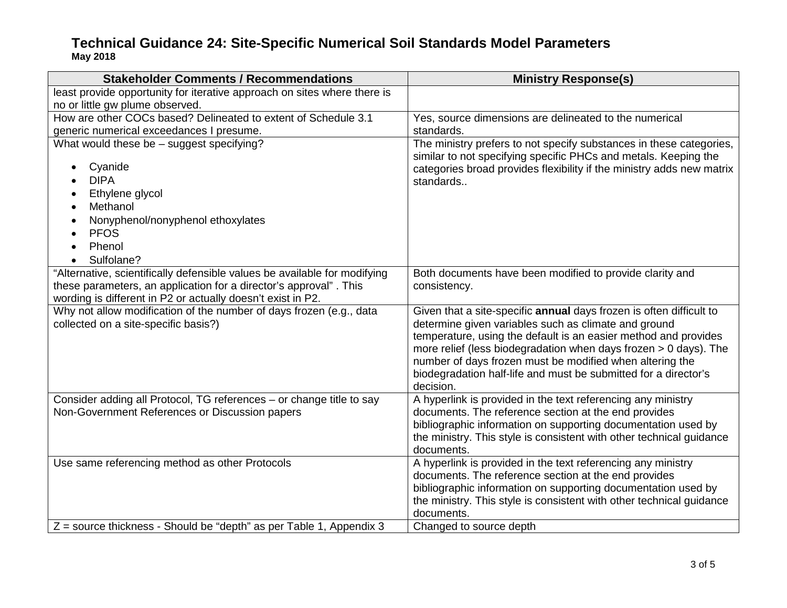| <b>Stakeholder Comments / Recommendations</b>                                                                                                                                                                 | <b>Ministry Response(s)</b>                                                                                                                                                                                                                                                                                                                                                                                      |
|---------------------------------------------------------------------------------------------------------------------------------------------------------------------------------------------------------------|------------------------------------------------------------------------------------------------------------------------------------------------------------------------------------------------------------------------------------------------------------------------------------------------------------------------------------------------------------------------------------------------------------------|
| least provide opportunity for iterative approach on sites where there is                                                                                                                                      |                                                                                                                                                                                                                                                                                                                                                                                                                  |
| no or little gw plume observed.                                                                                                                                                                               |                                                                                                                                                                                                                                                                                                                                                                                                                  |
| How are other COCs based? Delineated to extent of Schedule 3.1                                                                                                                                                | Yes, source dimensions are delineated to the numerical                                                                                                                                                                                                                                                                                                                                                           |
| generic numerical exceedances I presume.                                                                                                                                                                      | standards.                                                                                                                                                                                                                                                                                                                                                                                                       |
| What would these be - suggest specifying?<br>Cyanide<br><b>DIPA</b><br>Ethylene glycol<br>Methanol<br>Nonyphenol/nonyphenol ethoxylates<br><b>PFOS</b>                                                        | The ministry prefers to not specify substances in these categories,<br>similar to not specifying specific PHCs and metals. Keeping the<br>categories broad provides flexibility if the ministry adds new matrix<br>standards                                                                                                                                                                                     |
|                                                                                                                                                                                                               |                                                                                                                                                                                                                                                                                                                                                                                                                  |
| Phenol                                                                                                                                                                                                        |                                                                                                                                                                                                                                                                                                                                                                                                                  |
| Sulfolane?                                                                                                                                                                                                    |                                                                                                                                                                                                                                                                                                                                                                                                                  |
| "Alternative, scientifically defensible values be available for modifying<br>these parameters, an application for a director's approval". This<br>wording is different in P2 or actually doesn't exist in P2. | Both documents have been modified to provide clarity and<br>consistency.                                                                                                                                                                                                                                                                                                                                         |
| Why not allow modification of the number of days frozen (e.g., data<br>collected on a site-specific basis?)                                                                                                   | Given that a site-specific annual days frozen is often difficult to<br>determine given variables such as climate and ground<br>temperature, using the default is an easier method and provides<br>more relief (less biodegradation when days frozen $> 0$ days). The<br>number of days frozen must be modified when altering the<br>biodegradation half-life and must be submitted for a director's<br>decision. |
| Consider adding all Protocol, TG references - or change title to say<br>Non-Government References or Discussion papers                                                                                        | A hyperlink is provided in the text referencing any ministry<br>documents. The reference section at the end provides<br>bibliographic information on supporting documentation used by<br>the ministry. This style is consistent with other technical guidance<br>documents.                                                                                                                                      |
| Use same referencing method as other Protocols                                                                                                                                                                | A hyperlink is provided in the text referencing any ministry<br>documents. The reference section at the end provides<br>bibliographic information on supporting documentation used by<br>the ministry. This style is consistent with other technical guidance<br>documents.                                                                                                                                      |
| $Z$ = source thickness - Should be "depth" as per Table 1, Appendix 3                                                                                                                                         | Changed to source depth                                                                                                                                                                                                                                                                                                                                                                                          |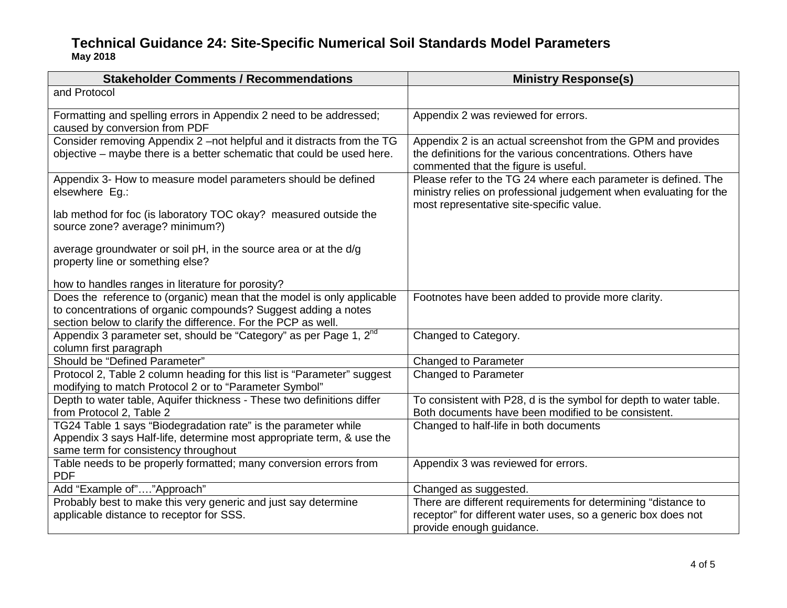| <b>Stakeholder Comments / Recommendations</b>                                                                                     | <b>Ministry Response(s)</b>                                                                                                         |
|-----------------------------------------------------------------------------------------------------------------------------------|-------------------------------------------------------------------------------------------------------------------------------------|
| and Protocol                                                                                                                      |                                                                                                                                     |
| Formatting and spelling errors in Appendix 2 need to be addressed;<br>caused by conversion from PDF                               | Appendix 2 was reviewed for errors.                                                                                                 |
| Consider removing Appendix 2 -not helpful and it distracts from the TG                                                            | Appendix 2 is an actual screenshot from the GPM and provides                                                                        |
| objective – maybe there is a better schematic that could be used here.                                                            | the definitions for the various concentrations. Others have<br>commented that the figure is useful.                                 |
| Appendix 3- How to measure model parameters should be defined<br>elsewhere Eg.:                                                   | Please refer to the TG 24 where each parameter is defined. The<br>ministry relies on professional judgement when evaluating for the |
| lab method for foc (is laboratory TOC okay? measured outside the<br>source zone? average? minimum?)                               | most representative site-specific value.                                                                                            |
| average groundwater or soil pH, in the source area or at the d/g<br>property line or something else?                              |                                                                                                                                     |
| how to handles ranges in literature for porosity?                                                                                 |                                                                                                                                     |
| Does the reference to (organic) mean that the model is only applicable                                                            | Footnotes have been added to provide more clarity.                                                                                  |
| to concentrations of organic compounds? Suggest adding a notes                                                                    |                                                                                                                                     |
| section below to clarify the difference. For the PCP as well.                                                                     |                                                                                                                                     |
| Appendix 3 parameter set, should be "Category" as per Page 1, 2 <sup>nd</sup><br>column first paragraph                           | Changed to Category.                                                                                                                |
| Should be "Defined Parameter"                                                                                                     | <b>Changed to Parameter</b>                                                                                                         |
| Protocol 2, Table 2 column heading for this list is "Parameter" suggest<br>modifying to match Protocol 2 or to "Parameter Symbol" | <b>Changed to Parameter</b>                                                                                                         |
| Depth to water table, Aquifer thickness - These two definitions differ<br>from Protocol 2, Table 2                                | To consistent with P28, d is the symbol for depth to water table.<br>Both documents have been modified to be consistent.            |
| TG24 Table 1 says "Biodegradation rate" is the parameter while                                                                    | Changed to half-life in both documents                                                                                              |
| Appendix 3 says Half-life, determine most appropriate term, & use the                                                             |                                                                                                                                     |
| same term for consistency throughout                                                                                              |                                                                                                                                     |
| Table needs to be properly formatted; many conversion errors from<br><b>PDF</b>                                                   | Appendix 3 was reviewed for errors.                                                                                                 |
| Add "Example of""Approach"                                                                                                        | Changed as suggested.                                                                                                               |
| Probably best to make this very generic and just say determine                                                                    | There are different requirements for determining "distance to                                                                       |
| applicable distance to receptor for SSS.                                                                                          | receptor" for different water uses, so a generic box does not                                                                       |
|                                                                                                                                   | provide enough guidance.                                                                                                            |